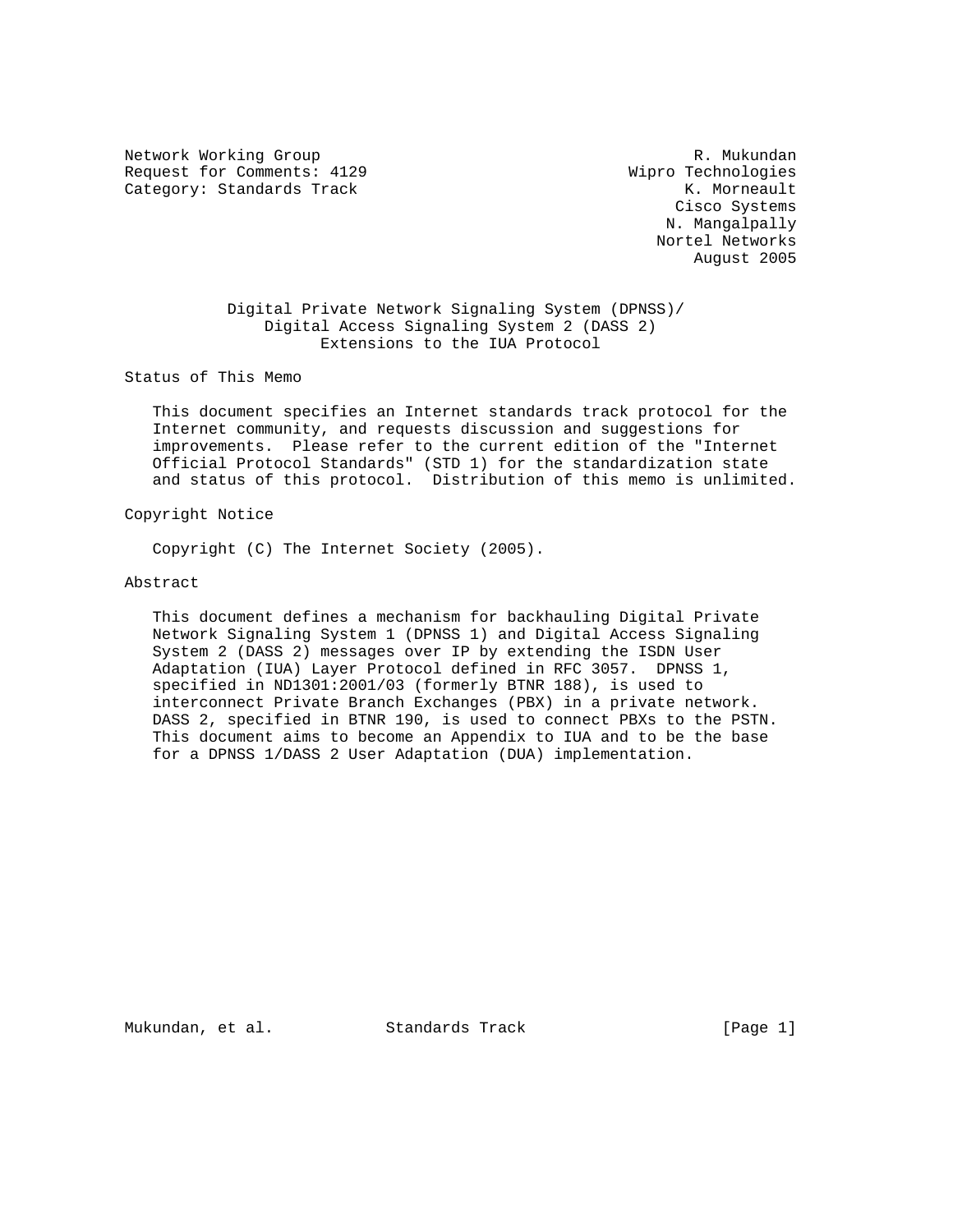Network Working Group and the set of the set of the set of the R. Mukundan Request for Comments: 4129 Wipro Technologies Category: Standards Track K. Morneault

 Cisco Systems N. Mangalpally Nortel Networks August 2005

 Digital Private Network Signaling System (DPNSS)/ Digital Access Signaling System 2 (DASS 2) Extensions to the IUA Protocol

Status of This Memo

 This document specifies an Internet standards track protocol for the Internet community, and requests discussion and suggestions for improvements. Please refer to the current edition of the "Internet Official Protocol Standards" (STD 1) for the standardization state and status of this protocol. Distribution of this memo is unlimited.

Copyright Notice

Copyright (C) The Internet Society (2005).

Abstract

 This document defines a mechanism for backhauling Digital Private Network Signaling System 1 (DPNSS 1) and Digital Access Signaling System 2 (DASS 2) messages over IP by extending the ISDN User Adaptation (IUA) Layer Protocol defined in RFC 3057. DPNSS 1, specified in ND1301:2001/03 (formerly BTNR 188), is used to interconnect Private Branch Exchanges (PBX) in a private network. DASS 2, specified in BTNR 190, is used to connect PBXs to the PSTN. This document aims to become an Appendix to IUA and to be the base for a DPNSS 1/DASS 2 User Adaptation (DUA) implementation.

Mukundan, et al. Standards Track [Page 1]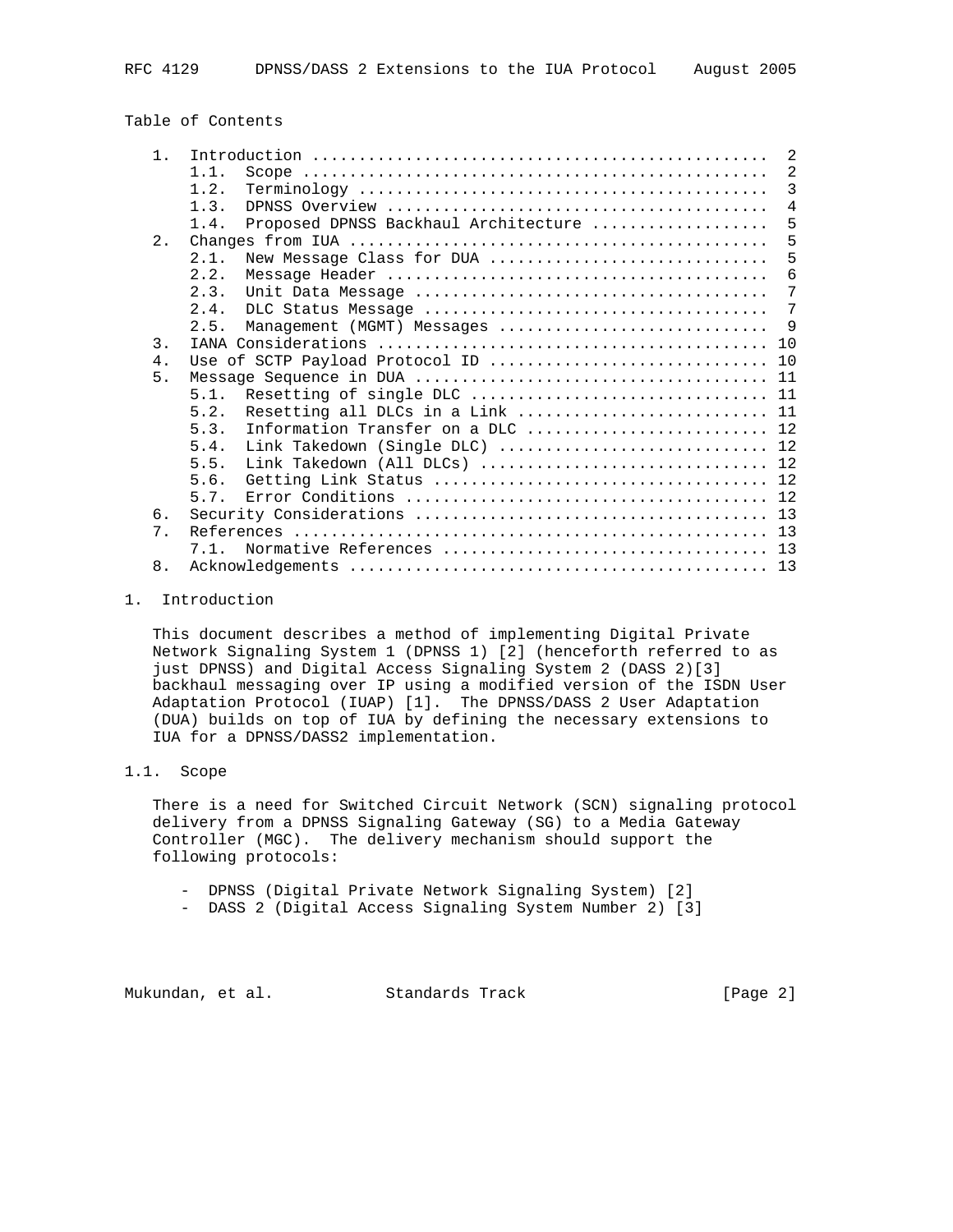# Table of Contents

| 1 <sub>1</sub>   | 2                                                                                                        |
|------------------|----------------------------------------------------------------------------------------------------------|
|                  | 2<br>1.1.                                                                                                |
|                  | 3<br>1.2.                                                                                                |
|                  | $\overline{4}$<br>1.3.                                                                                   |
|                  | 5<br>Proposed DPNSS Backhaul Architecture<br>1.4.                                                        |
| 2.               | 5                                                                                                        |
|                  | 5<br>2.1.<br>New Message Class for DUA                                                                   |
|                  | 6<br>2.2.                                                                                                |
|                  | 2.3.<br>7                                                                                                |
|                  | 7<br>2.4.                                                                                                |
|                  | - 9<br>2.5.<br>Management (MGMT) Messages                                                                |
| $\overline{3}$ . |                                                                                                          |
| $4$ .            | Use of SCTP Payload Protocol ID  10                                                                      |
| 5.               |                                                                                                          |
|                  | 5.1.                                                                                                     |
|                  | Resetting all DLCs in a Link  11<br>5.2.                                                                 |
|                  | Information Transfer on a DLC  12<br>5.3.                                                                |
|                  | Link Takedown (Single DLC)  12<br>5.4.                                                                   |
|                  | Link Takedown (All DLCs) $\ldots \ldots \ldots \ldots \ldots \ldots \ldots \ldots \ldots \ldots$<br>5.5. |
|                  | 5.6.                                                                                                     |
|                  | 5.7.                                                                                                     |
| 6.               |                                                                                                          |
| $7$ .            |                                                                                                          |
|                  | 7.1.                                                                                                     |
| 8.               | 13                                                                                                       |
|                  |                                                                                                          |

### 1. Introduction

 This document describes a method of implementing Digital Private Network Signaling System 1 (DPNSS 1) [2] (henceforth referred to as just DPNSS) and Digital Access Signaling System 2 (DASS 2)[3] backhaul messaging over IP using a modified version of the ISDN User Adaptation Protocol (IUAP) [1]. The DPNSS/DASS 2 User Adaptation (DUA) builds on top of IUA by defining the necessary extensions to IUA for a DPNSS/DASS2 implementation.

# 1.1. Scope

 There is a need for Switched Circuit Network (SCN) signaling protocol delivery from a DPNSS Signaling Gateway (SG) to a Media Gateway Controller (MGC). The delivery mechanism should support the following protocols:

- DPNSS (Digital Private Network Signaling System) [2]
- DASS 2 (Digital Access Signaling System Number 2) [3]

Mukundan, et al. Standards Track [Page 2]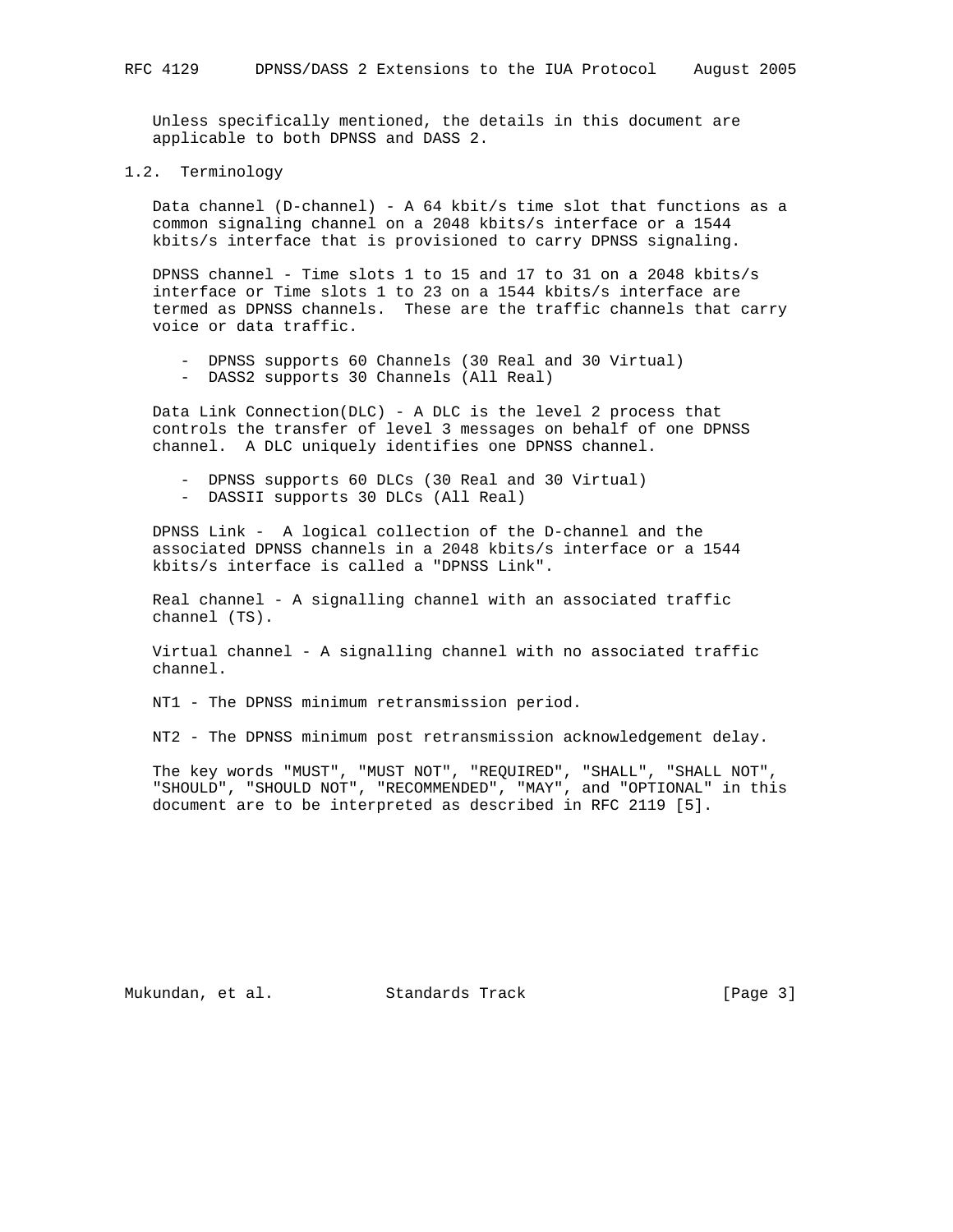Unless specifically mentioned, the details in this document are applicable to both DPNSS and DASS 2.

# 1.2. Terminology

 Data channel (D-channel) - A 64 kbit/s time slot that functions as a common signaling channel on a 2048 kbits/s interface or a 1544 kbits/s interface that is provisioned to carry DPNSS signaling.

 DPNSS channel - Time slots 1 to 15 and 17 to 31 on a 2048 kbits/s interface or Time slots 1 to 23 on a 1544 kbits/s interface are termed as DPNSS channels. These are the traffic channels that carry voice or data traffic.

- DPNSS supports 60 Channels (30 Real and 30 Virtual)
- DASS2 supports 30 Channels (All Real)

 Data Link Connection(DLC) - A DLC is the level 2 process that controls the transfer of level 3 messages on behalf of one DPNSS channel. A DLC uniquely identifies one DPNSS channel.

- DPNSS supports 60 DLCs (30 Real and 30 Virtual)
- DASSII supports 30 DLCs (All Real)

 DPNSS Link - A logical collection of the D-channel and the associated DPNSS channels in a 2048 kbits/s interface or a 1544 kbits/s interface is called a "DPNSS Link".

 Real channel - A signalling channel with an associated traffic channel (TS).

 Virtual channel - A signalling channel with no associated traffic channel.

NT1 - The DPNSS minimum retransmission period.

NT2 - The DPNSS minimum post retransmission acknowledgement delay.

 The key words "MUST", "MUST NOT", "REQUIRED", "SHALL", "SHALL NOT", "SHOULD", "SHOULD NOT", "RECOMMENDED", "MAY", and "OPTIONAL" in this document are to be interpreted as described in RFC 2119 [5].

Mukundan, et al. Standards Track [Page 3]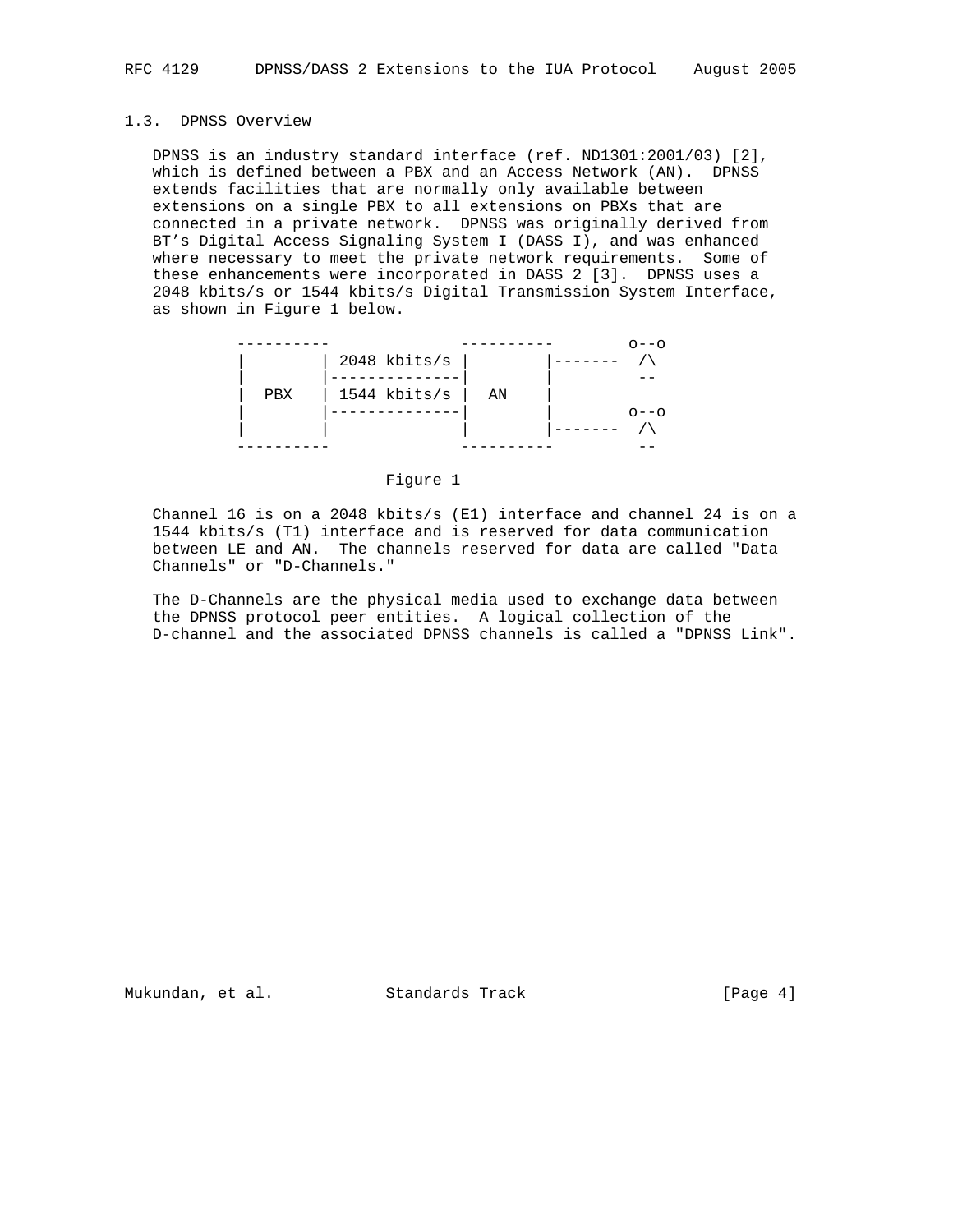# 1.3. DPNSS Overview

 DPNSS is an industry standard interface (ref. ND1301:2001/03) [2], which is defined between a PBX and an Access Network (AN). DPNSS extends facilities that are normally only available between extensions on a single PBX to all extensions on PBXs that are connected in a private network. DPNSS was originally derived from BT's Digital Access Signaling System I (DASS I), and was enhanced where necessary to meet the private network requirements. Some of these enhancements were incorporated in DASS 2 [3]. DPNSS uses a 2048 kbits/s or 1544 kbits/s Digital Transmission System Interface, as shown in Figure 1 below.

|     |                |    | $\cap$ $ \cap$    |
|-----|----------------|----|-------------------|
|     | $2048$ kbits/s |    |                   |
|     |                |    |                   |
| PBX | 1544 kbits/s   | ΆN |                   |
|     |                |    | $\cap$ – – $\cap$ |
|     |                |    |                   |
|     |                |    |                   |

#### Figure 1

 Channel 16 is on a 2048 kbits/s (E1) interface and channel 24 is on a 1544 kbits/s (T1) interface and is reserved for data communication between LE and AN. The channels reserved for data are called "Data Channels" or "D-Channels."

 The D-Channels are the physical media used to exchange data between the DPNSS protocol peer entities. A logical collection of the D-channel and the associated DPNSS channels is called a "DPNSS Link".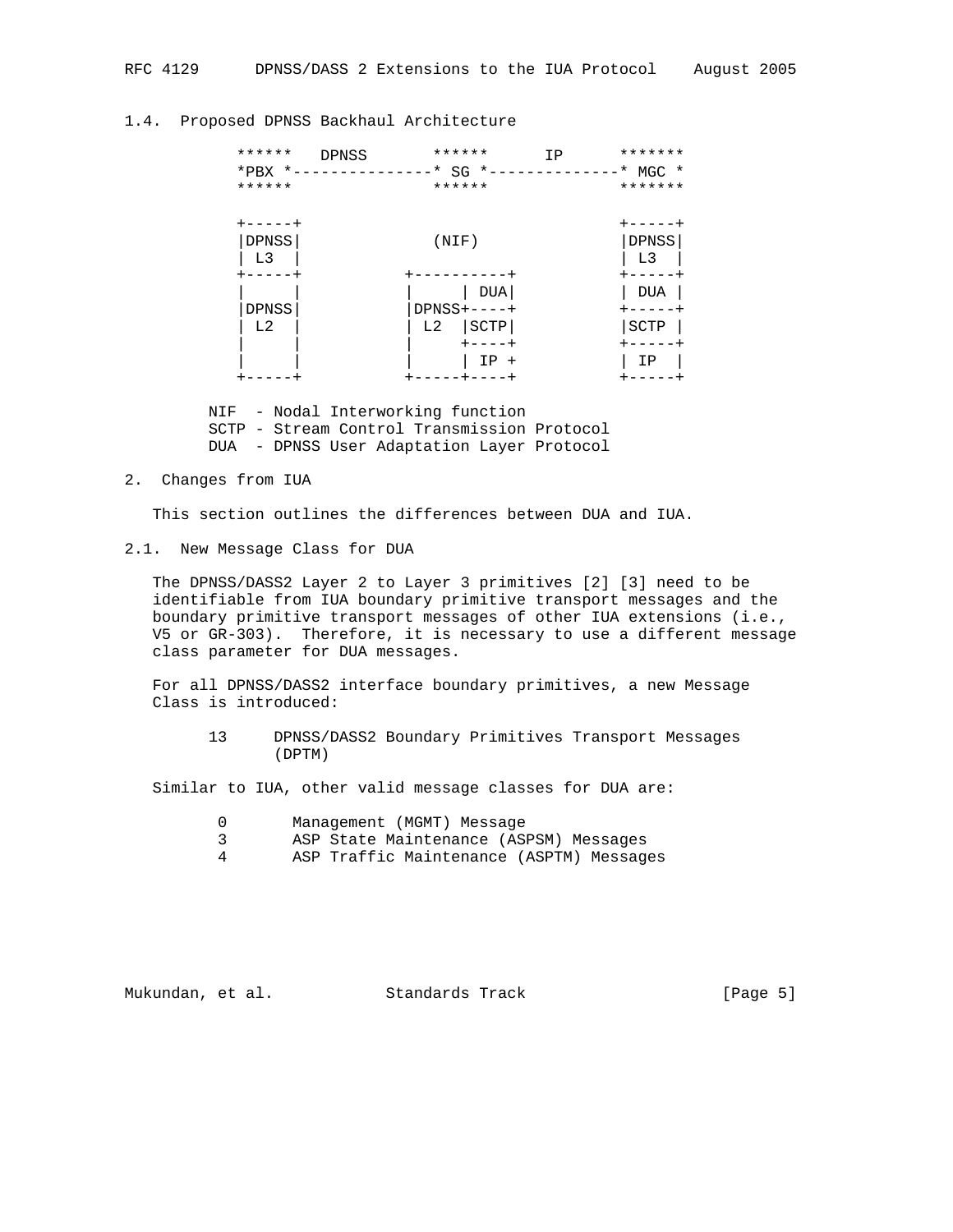| ******<br>$*$ PBX $*$ -<br>******               | ******<br><b>DPNSS</b><br>------* SG *-<br>****** | *******<br>IP<br>$*$ MGC $*$<br>******* |
|-------------------------------------------------|---------------------------------------------------|-----------------------------------------|
| $+ - - - - +$<br><b>DPNSS</b><br>L <sub>3</sub> | (NIF)                                             | DPNSS<br>L <sub>3</sub>                 |
| <b>DPNSS</b><br>L <sub>2</sub>                  | DUA<br>$DPNSS+---+$<br>SCTP<br>L <sub>2</sub>     | <b>DUA</b><br>SCTP                      |
|                                                 | $+ - - - - +$<br>$IP +$                           | ΙP                                      |

## 1.4. Proposed DPNSS Backhaul Architecture

 NIF - Nodal Interworking function SCTP - Stream Control Transmission Protocol DUA - DPNSS User Adaptation Layer Protocol

## 2. Changes from IUA

This section outlines the differences between DUA and IUA.

#### 2.1. New Message Class for DUA

 The DPNSS/DASS2 Layer 2 to Layer 3 primitives [2] [3] need to be identifiable from IUA boundary primitive transport messages and the boundary primitive transport messages of other IUA extensions (i.e., V5 or GR-303). Therefore, it is necessary to use a different message class parameter for DUA messages.

 For all DPNSS/DASS2 interface boundary primitives, a new Message Class is introduced:

 13 DPNSS/DASS2 Boundary Primitives Transport Messages (DPTM)

Similar to IUA, other valid message classes for DUA are:

- 0 Management (MGMT) Message
- 3 ASP State Maintenance (ASPSM) Messages
- 4 ASP Traffic Maintenance (ASPTM) Messages

Mukundan, et al. Standards Track [Page 5]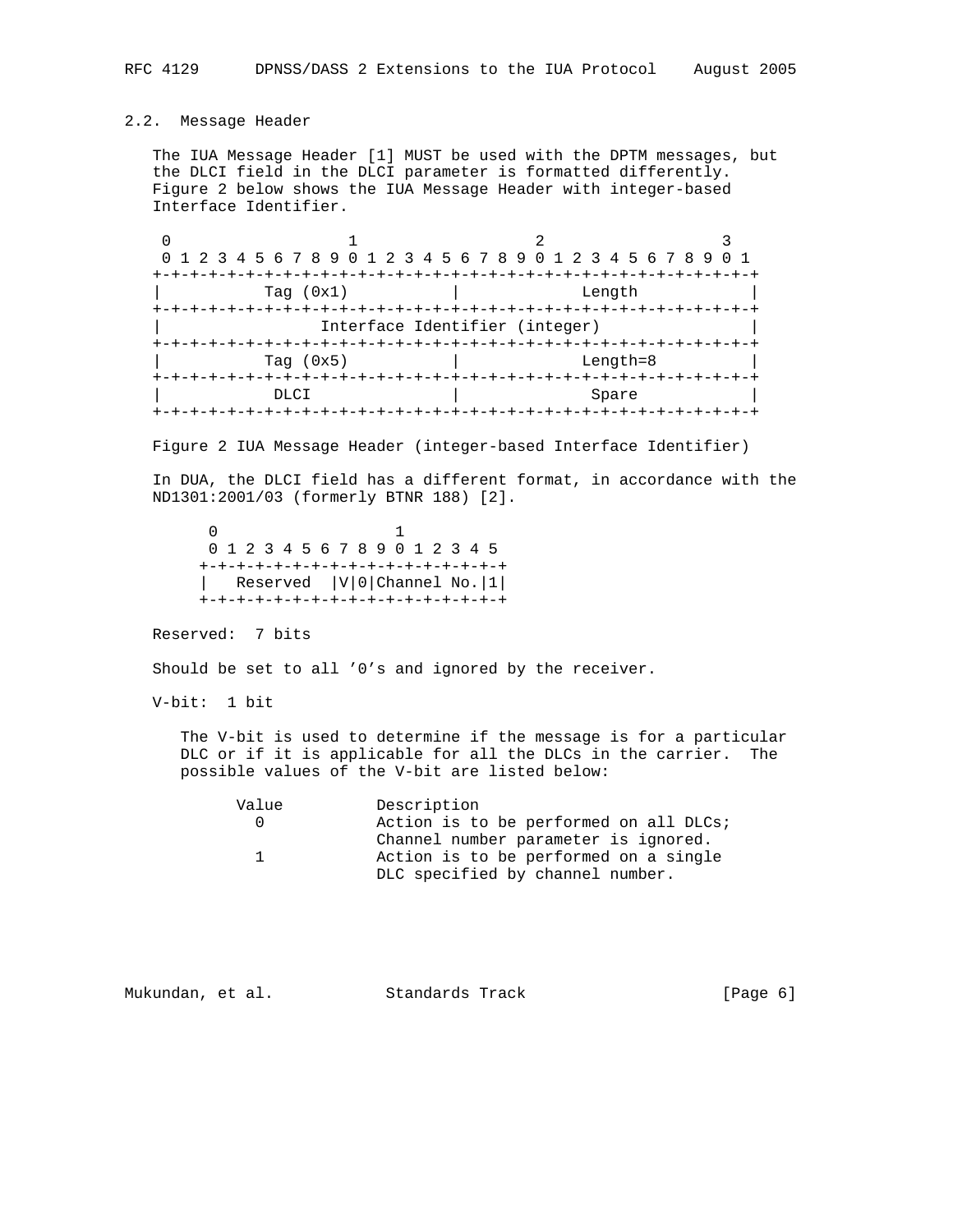# 2.2. Message Header

 The IUA Message Header [1] MUST be used with the DPTM messages, but the DLCI field in the DLCI parameter is formatted differently. Figure 2 below shows the IUA Message Header with integer-based Interface Identifier.

0  $1$  2 3 0 1 2 3 4 5 6 7 8 9 0 1 2 3 4 5 6 7 8 9 0 1 2 3 4 5 6 7 8 9 0 1 +-+-+-+-+-+-+-+-+-+-+-+-+-+-+-+-+-+-+-+-+-+-+-+-+-+-+-+-+-+-+-+-+ Tag (0x1) | Length +-+-+-+-+-+-+-+-+-+-+-+-+-+-+-+-+-+-+-+-+-+-+-+-+-+-+-+-+-+-+-+-+ Interface Identifier (integer) +-+-+-+-+-+-+-+-+-+-+-+-+-+-+-+-+-+-+-+-+-+-+-+-+-+-+-+-+-+-+-+-+ Tag (0x5) | Length=8 +-+-+-+-+-+-+-+-+-+-+-+-+-+-+-+-+-+-+-+-+-+-+-+-+-+-+-+-+-+-+-+-+ | December 1983 Spare | Spare | Spare | Spare | Spare | Spare | Spare | Spare | Spare | Spare | Spare | Spare | Spare | Spare | Spare | Spare | Spare | Spare | Spare | Spare | Spare | Spare | Spare | Spare | Spare | Spare +-+-+-+-+-+-+-+-+-+-+-+-+-+-+-+-+-+-+-+-+-+-+-+-+-+-+-+-+-+-+-+-+

Figure 2 IUA Message Header (integer-based Interface Identifier)

 In DUA, the DLCI field has a different format, in accordance with the ND1301:2001/03 (formerly BTNR 188) [2].

 $\sim$  0  $\sim$  1 0 1 2 3 4 5 6 7 8 9 0 1 2 3 4 5 +-+-+-+-+-+-+-+-+-+-+-+-+-+-+-+-+ | Reserved |V|0|Channel No.|1| +-+-+-+-+-+-+-+-+-+-+-+-+-+-+-+-+

Reserved: 7 bits

Should be set to all '0's and ignored by the receiver.

V-bit: 1 bit

 The V-bit is used to determine if the message is for a particular DLC or if it is applicable for all the DLCs in the carrier. The possible values of the V-bit are listed below:

| Value | Description                            |
|-------|----------------------------------------|
|       | Action is to be performed on all DLCs; |
|       | Channel number parameter is ignored.   |
|       | Action is to be performed on a single  |
|       | DLC specified by channel number.       |

| Mukundan, et al. |  |  | Standards Track | [Page 6] |
|------------------|--|--|-----------------|----------|
|------------------|--|--|-----------------|----------|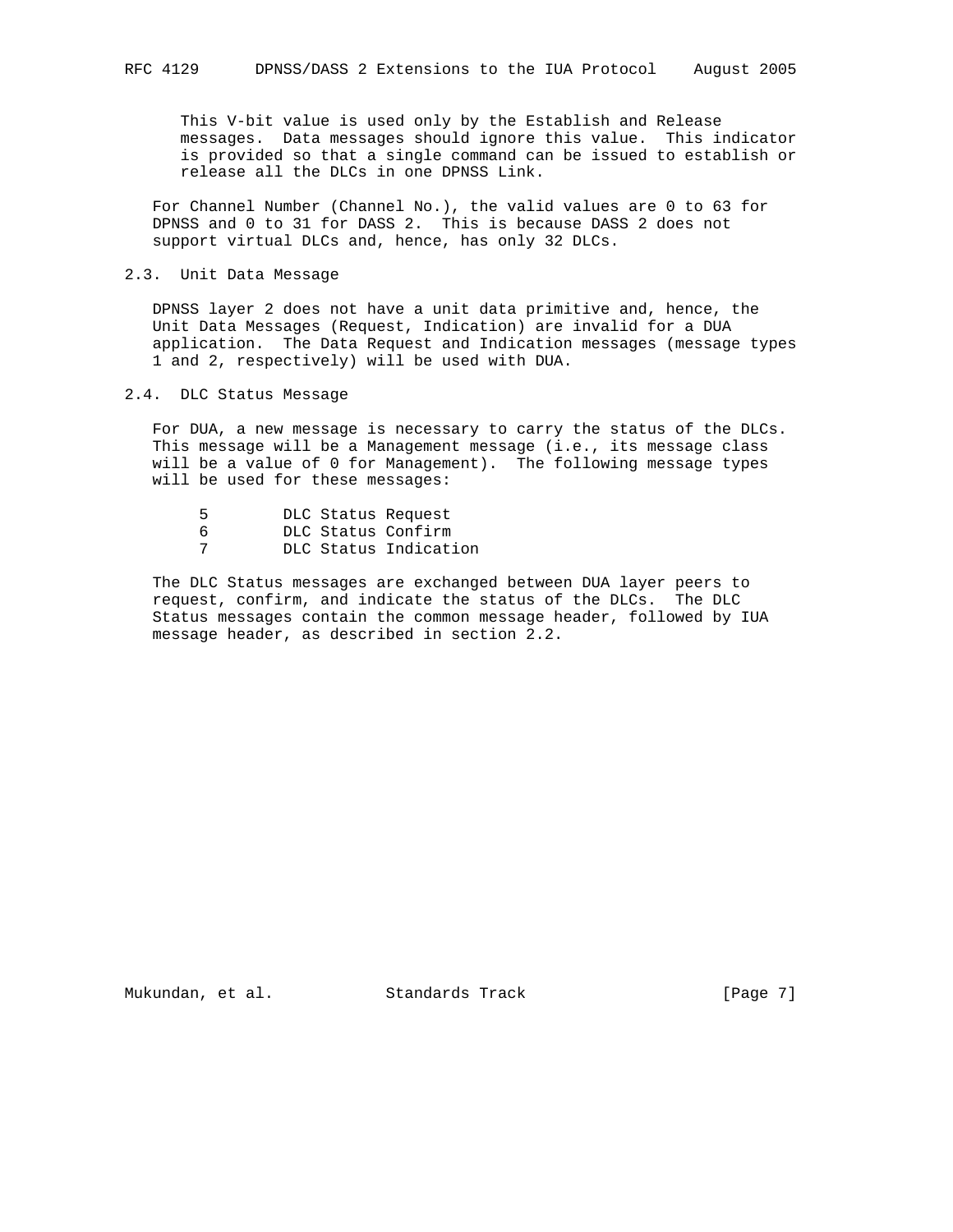This V-bit value is used only by the Establish and Release messages. Data messages should ignore this value. This indicator is provided so that a single command can be issued to establish or release all the DLCs in one DPNSS Link.

 For Channel Number (Channel No.), the valid values are 0 to 63 for DPNSS and 0 to 31 for DASS 2. This is because DASS 2 does not support virtual DLCs and, hence, has only 32 DLCs.

### 2.3. Unit Data Message

 DPNSS layer 2 does not have a unit data primitive and, hence, the Unit Data Messages (Request, Indication) are invalid for a DUA application. The Data Request and Indication messages (message types 1 and 2, respectively) will be used with DUA.

## 2.4. DLC Status Message

 For DUA, a new message is necessary to carry the status of the DLCs. This message will be a Management message (i.e., its message class will be a value of 0 for Management). The following message types will be used for these messages:

| DLC Status Request |
|--------------------|
|                    |

- 6 DLC Status Confirm
- 7 DLC Status Indication

 The DLC Status messages are exchanged between DUA layer peers to request, confirm, and indicate the status of the DLCs. The DLC Status messages contain the common message header, followed by IUA message header, as described in section 2.2.

Mukundan, et al. Standards Track [Page 7]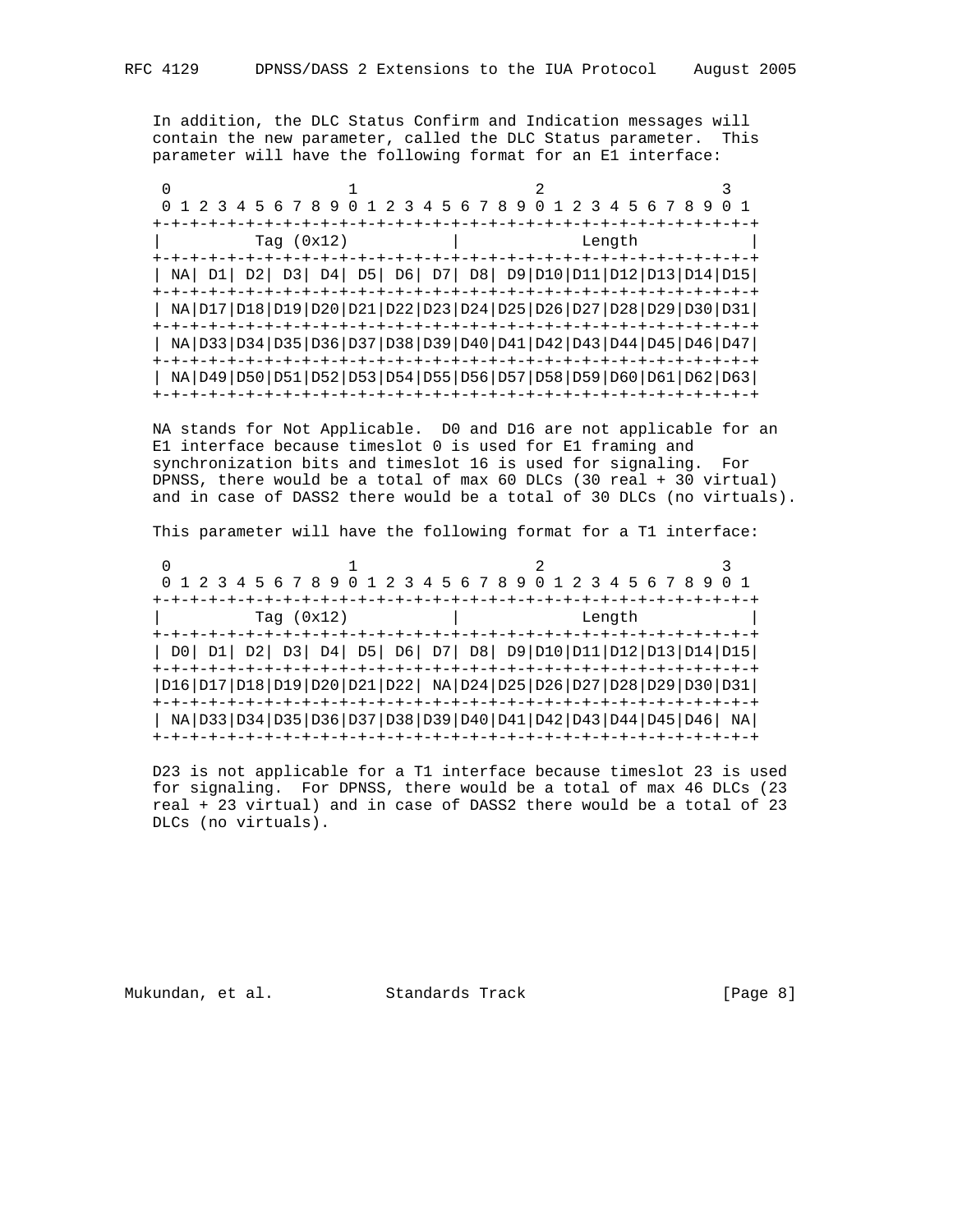In addition, the DLC Status Confirm and Indication messages will contain the new parameter, called the DLC Status parameter. This parameter will have the following format for an E1 interface:

| 0 1 2 3 4 5 6 7 8 9 0 1 2 3 4 5 6 7 8 9 0 1 2 3 4 5 6 7 8 9 0 1                              |  |              |  |  |  |        |  |  |
|----------------------------------------------------------------------------------------------|--|--------------|--|--|--|--------|--|--|
|                                                                                              |  |              |  |  |  |        |  |  |
|                                                                                              |  | Tag $(0x12)$ |  |  |  | Length |  |  |
|                                                                                              |  |              |  |  |  |        |  |  |
| NA  D1  D2  D3  D4  D5  D6  D7  D8  D9 D10 D11 D12 D13 D14 D15                               |  |              |  |  |  |        |  |  |
|                                                                                              |  |              |  |  |  |        |  |  |
| NA   D17   D18   D19   D20   D21   D22   D23   D24   D25   D26   D27   D28   D29   D30   D31 |  |              |  |  |  |        |  |  |
|                                                                                              |  |              |  |  |  |        |  |  |
| NA   D33   D34   D35   D36   D37   D38   D39   D40   D41   D42   D43   D44   D45   D46   D47 |  |              |  |  |  |        |  |  |
| -+-+-+-+-+-+-+-+-+-+-+-+-+-+-+-                                                              |  |              |  |  |  |        |  |  |
| NA D49 D50 D51 D52 D53 D54 D55 D56 D57 D58 D59 D60 D61 D62 D63                               |  |              |  |  |  |        |  |  |
|                                                                                              |  |              |  |  |  |        |  |  |

 NA stands for Not Applicable. D0 and D16 are not applicable for an E1 interface because timeslot 0 is used for E1 framing and synchronization bits and timeslot 16 is used for signaling. For DPNSS, there would be a total of max 60 DLCs (30 real + 30 virtual) and in case of DASS2 there would be a total of 30 DLCs (no virtuals).

This parameter will have the following format for a T1 interface:

0  $1$  2 3 0 1 2 3 4 5 6 7 8 9 0 1 2 3 4 5 6 7 8 9 0 1 2 3 4 5 6 7 8 9 0 1 +-+-+-+-+-+-+-+-+-+-+-+-+-+-+-+-+-+-+-+-+-+-+-+-+-+-+-+-+-+-+-+-+ Tag (0x12) | Length +-+-+-+-+-+-+-+-+-+-+-+-+-+-+-+-+-+-+-+-+-+-+-+-+-+-+-+-+-+-+-+-+ | D0| D1| D2| D3| D4| D5| D6| D7| D8| D9|D10|D11|D12|D13|D14|D15| +-+-+-+-+-+-+-+-+-+-+-+-+-+-+-+-+-+-+-+-+-+-+-+-+-+-+-+-+-+-+-+-+ |D16|D17|D18|D19|D20|D21|D22| NA|D24|D25|D26|D27|D28|D29|D30|D31| +-+-+-+-+-+-+-+-+-+-+-+-+-+-+-+-+-+-+-+-+-+-+-+-+-+-+-+-+-+-+-+-+ | NA|D33|D34|D35|D36|D37|D38|D39|D40|D41|D42|D43|D44|D45|D46| NA| +-+-+-+-+-+-+-+-+-+-+-+-+-+-+-+-+-+-+-+-+-+-+-+-+-+-+-+-+-+-+-+-+

 D23 is not applicable for a T1 interface because timeslot 23 is used for signaling. For DPNSS, there would be a total of max 46 DLCs (23 real + 23 virtual) and in case of DASS2 there would be a total of 23 DLCs (no virtuals).

Mukundan, et al. Standards Track (Page 8)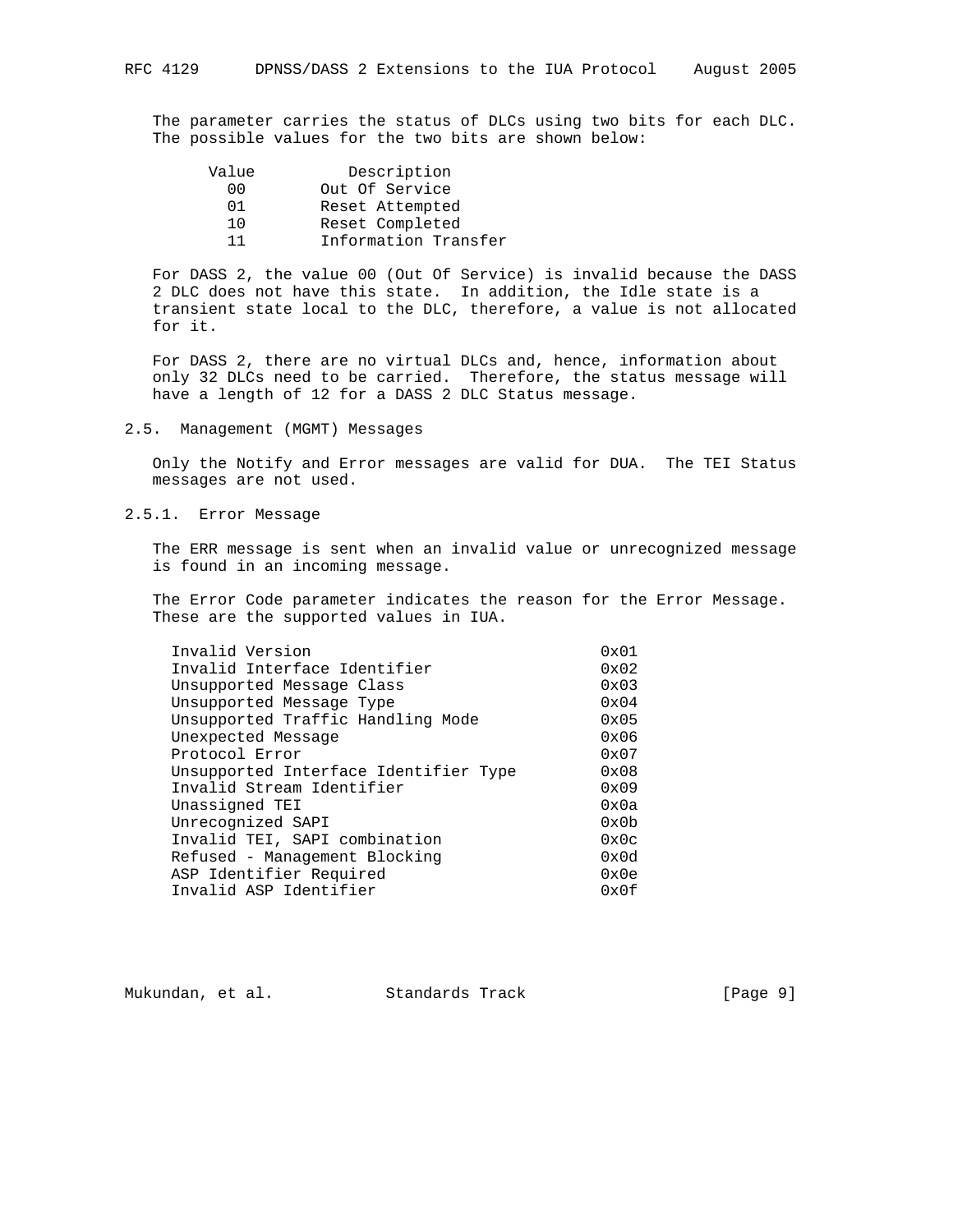The parameter carries the status of DLCs using two bits for each DLC. The possible values for the two bits are shown below:

| Value | Description          |
|-------|----------------------|
| 00    | Out Of Service       |
| በ 1   | Reset Attempted      |
| 1 O   | Reset Completed      |
| 11    | Information Transfer |
|       |                      |

 For DASS 2, the value 00 (Out Of Service) is invalid because the DASS 2 DLC does not have this state. In addition, the Idle state is a transient state local to the DLC, therefore, a value is not allocated for it.

 For DASS 2, there are no virtual DLCs and, hence, information about only 32 DLCs need to be carried. Therefore, the status message will have a length of 12 for a DASS 2 DLC Status message.

# 2.5. Management (MGMT) Messages

 Only the Notify and Error messages are valid for DUA. The TEI Status messages are not used.

# 2.5.1. Error Message

 The ERR message is sent when an invalid value or unrecognized message is found in an incoming message.

 The Error Code parameter indicates the reason for the Error Message. These are the supported values in IUA.

| Invalid Version                       | $0 \times 01$ |
|---------------------------------------|---------------|
| Invalid Interface Identifier          | $0 \times 02$ |
| Unsupported Message Class             | 0x03          |
| Unsupported Message Type              | 0x04          |
| Unsupported Traffic Handling Mode     | $0 \times 05$ |
| Unexpected Message                    | 0x06          |
| Protocol Error                        | $0 \times 07$ |
| Unsupported Interface Identifier Type | 0x08          |
| Invalid Stream Identifier             | 0x09          |
| Unassigned TEI                        | 0x0a          |
| Unrecognized SAPI                     | 0x0b          |
| Invalid TEI, SAPI combination         | 0x0c          |
| Refused - Management Blocking         | 0x0d          |
| ASP Identifier Required               | 0x0e          |
| Invalid ASP Identifier                | 0x0f          |
|                                       |               |

Mukundan, et al. Standards Track [Page 9]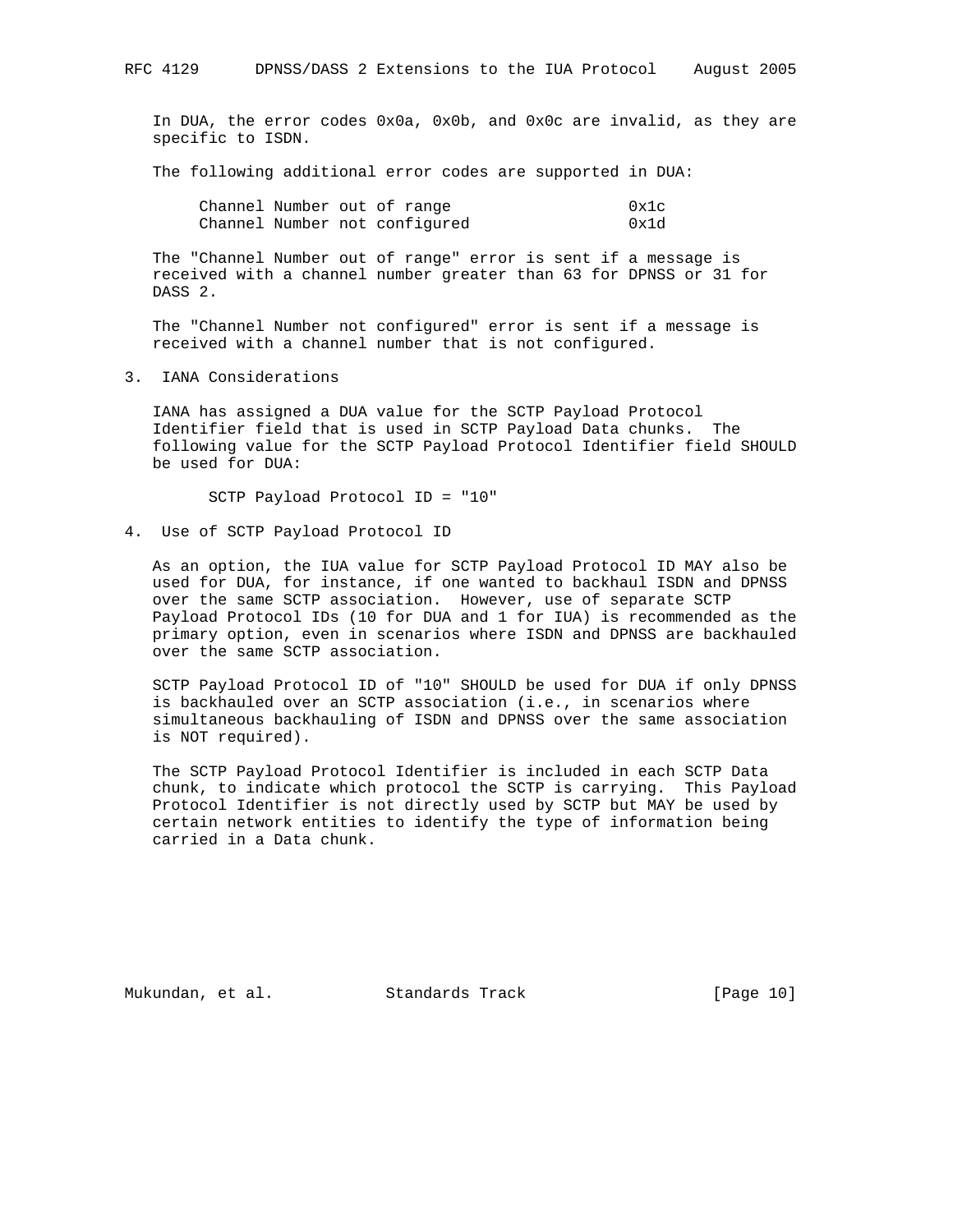In DUA, the error codes 0x0a, 0x0b, and 0x0c are invalid, as they are specific to ISDN.

The following additional error codes are supported in DUA:

|  | Channel Number out of range   | 0x1c |
|--|-------------------------------|------|
|  | Channel Number not configured | 0x1d |

 The "Channel Number out of range" error is sent if a message is received with a channel number greater than 63 for DPNSS or 31 for DASS 2.

 The "Channel Number not configured" error is sent if a message is received with a channel number that is not configured.

3. IANA Considerations

 IANA has assigned a DUA value for the SCTP Payload Protocol Identifier field that is used in SCTP Payload Data chunks. The following value for the SCTP Payload Protocol Identifier field SHOULD be used for DUA:

SCTP Payload Protocol ID = "10"

4. Use of SCTP Payload Protocol ID

 As an option, the IUA value for SCTP Payload Protocol ID MAY also be used for DUA, for instance, if one wanted to backhaul ISDN and DPNSS over the same SCTP association. However, use of separate SCTP Payload Protocol IDs (10 for DUA and 1 for IUA) is recommended as the primary option, even in scenarios where ISDN and DPNSS are backhauled over the same SCTP association.

 SCTP Payload Protocol ID of "10" SHOULD be used for DUA if only DPNSS is backhauled over an SCTP association (i.e., in scenarios where simultaneous backhauling of ISDN and DPNSS over the same association is NOT required).

 The SCTP Payload Protocol Identifier is included in each SCTP Data chunk, to indicate which protocol the SCTP is carrying. This Payload Protocol Identifier is not directly used by SCTP but MAY be used by certain network entities to identify the type of information being carried in a Data chunk.

Mukundan, et al. Standards Track [Page 10]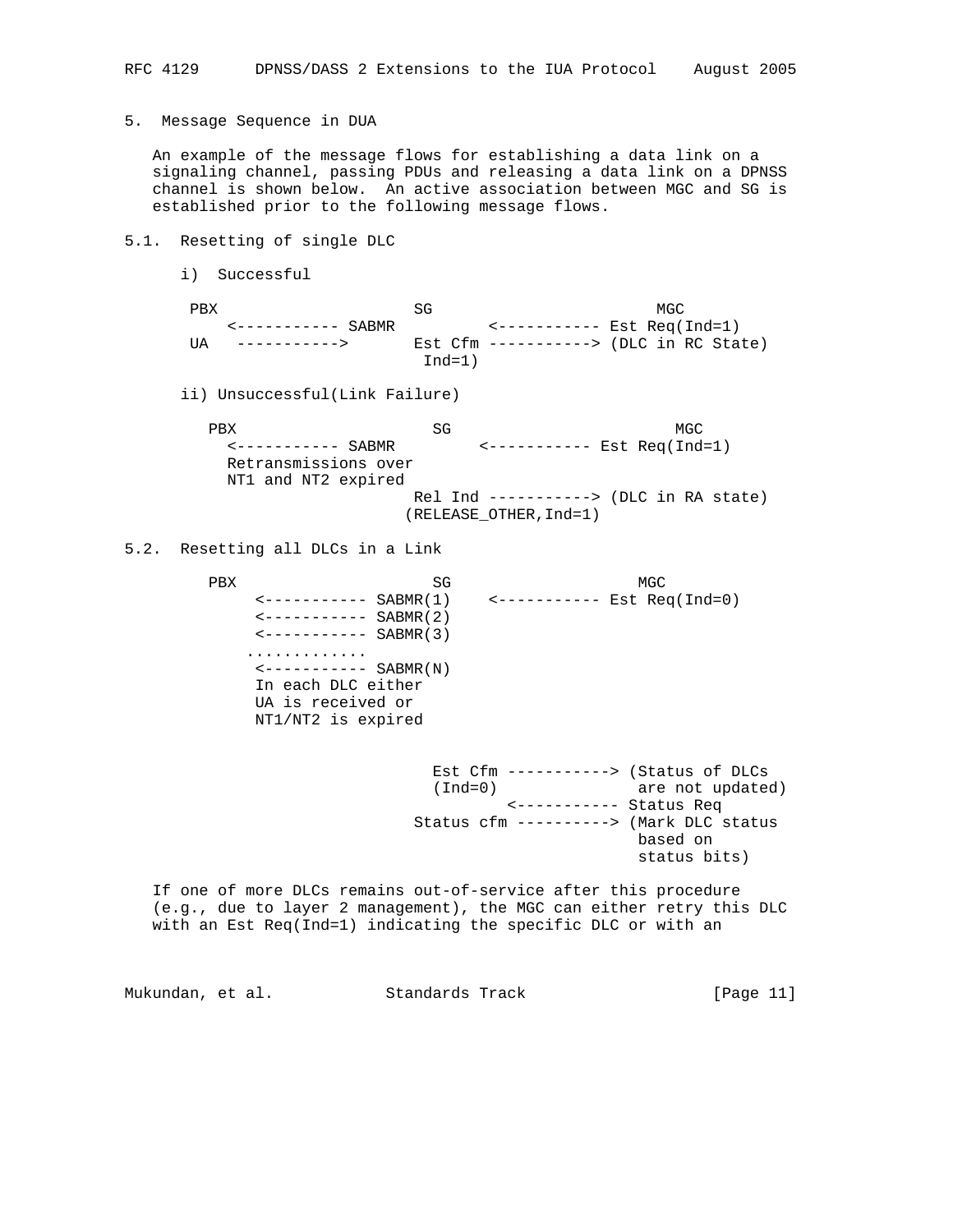5. Message Sequence in DUA

 An example of the message flows for establishing a data link on a signaling channel, passing PDUs and releasing a data link on a DPNSS channel is shown below. An active association between MGC and SG is established prior to the following message flows.

## 5.1. Resetting of single DLC

i) Successful

| PRX  |              |          | MGC                                      |  |
|------|--------------|----------|------------------------------------------|--|
|      |              |          |                                          |  |
| TTA. | -----------> |          | Est $Cfm$ -----------> (DLC in RC State) |  |
|      |              | $Ind=1)$ |                                          |  |

ii) Unsuccessful(Link Failure)

PBX SG MGC <----------- SABMR <----------- Est Req(Ind=1) Retransmissions over NT1 and NT2 expired Rel Ind -----------> (DLC in RA state) (RELEASE\_OTHER,Ind=1)

### 5.2. Resetting all DLCs in a Link

PBX SG MGC <----------- SABMR(1) <----------- Est Req(Ind=0)  $-------$  SABMR(2) <----------- SABMR(3) .............  $\leftarrow$  ----------- SABMR(N) In each DLC either UA is received or NT1/NT2 is expired

> Est Cfm -----------> (Status of DLCs (Ind=0) are not updated) <----------- Status Req Status cfm ----------> (Mark DLC status based on status bits)

 If one of more DLCs remains out-of-service after this procedure (e.g., due to layer 2 management), the MGC can either retry this DLC with an Est Req(Ind=1) indicating the specific DLC or with an

Mukundan, et al. Standards Track [Page 11]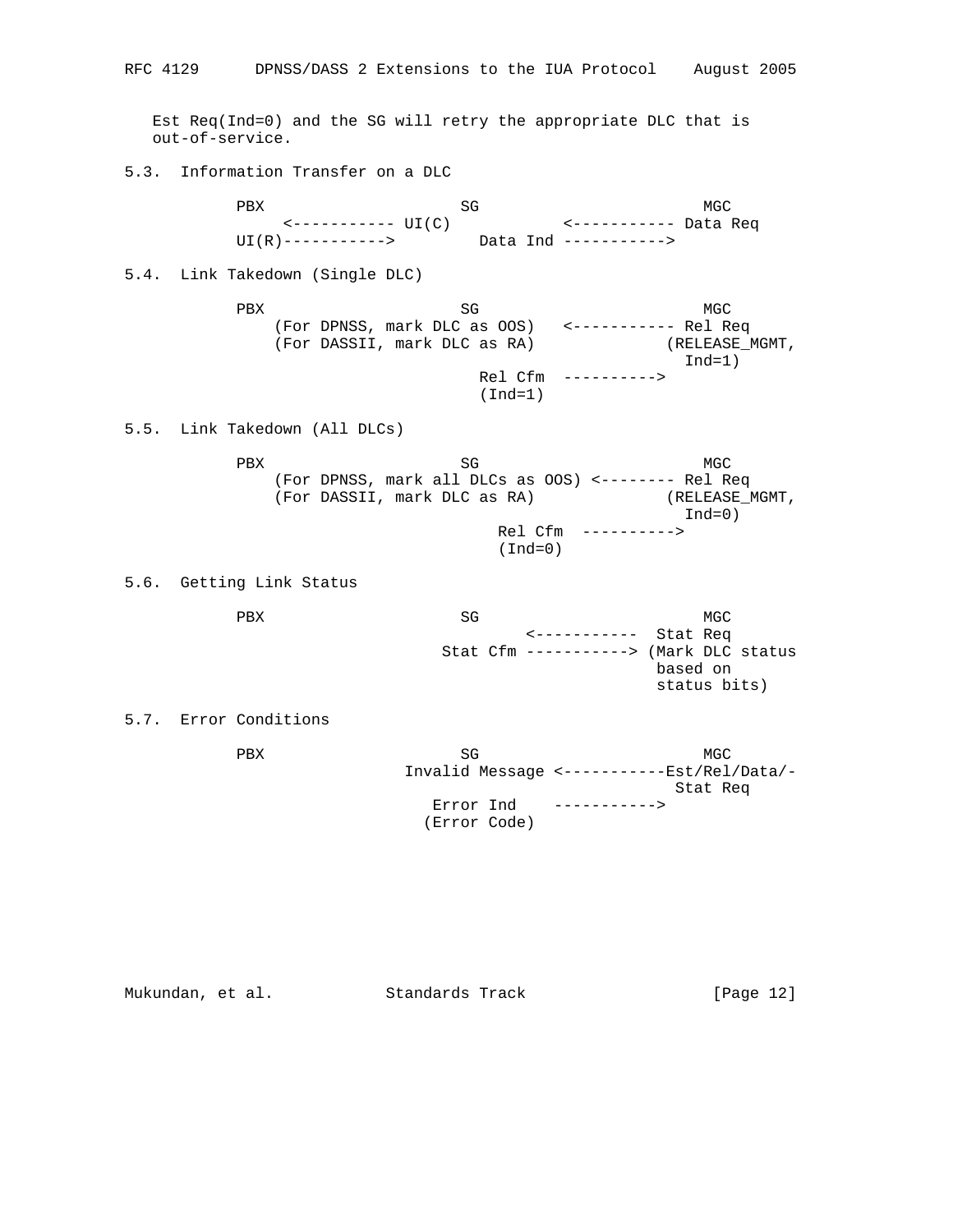Est Req(Ind=0) and the SG will retry the appropriate DLC that is out-of-service. 5.3. Information Transfer on a DLC PBX SG MGC <----------- UI(C) <----------- Data Req UI(R)-----------> Data Ind -----------> 5.4. Link Takedown (Single DLC) PBX SG MGC (For DPNSS, mark DLC as OOS) <----------- Rel Req (For DASSII, mark DLC as RA) (RELEASE\_MGMT, Ind=1) Rel Cfm ----------> (Ind=1) 5.5. Link Takedown (All DLCs) PBX SG MGC (For DPNSS, mark all DLCs as OOS) <-------- Rel Req (For DASSII, mark DLC as RA) (RELEASE\_MGMT, Ind=0) Rel Cfm ----------> (Ind=0) 5.6. Getting Link Status PBX SG MGC <----------- Stat Req Stat Cfm -----------> (Mark DLC status based on status bits) 5.7. Error Conditions PBX SG MGC Invalid Message <-----------Est/Rel/Data/- Stat Req Error Ind -----------> (Error Code)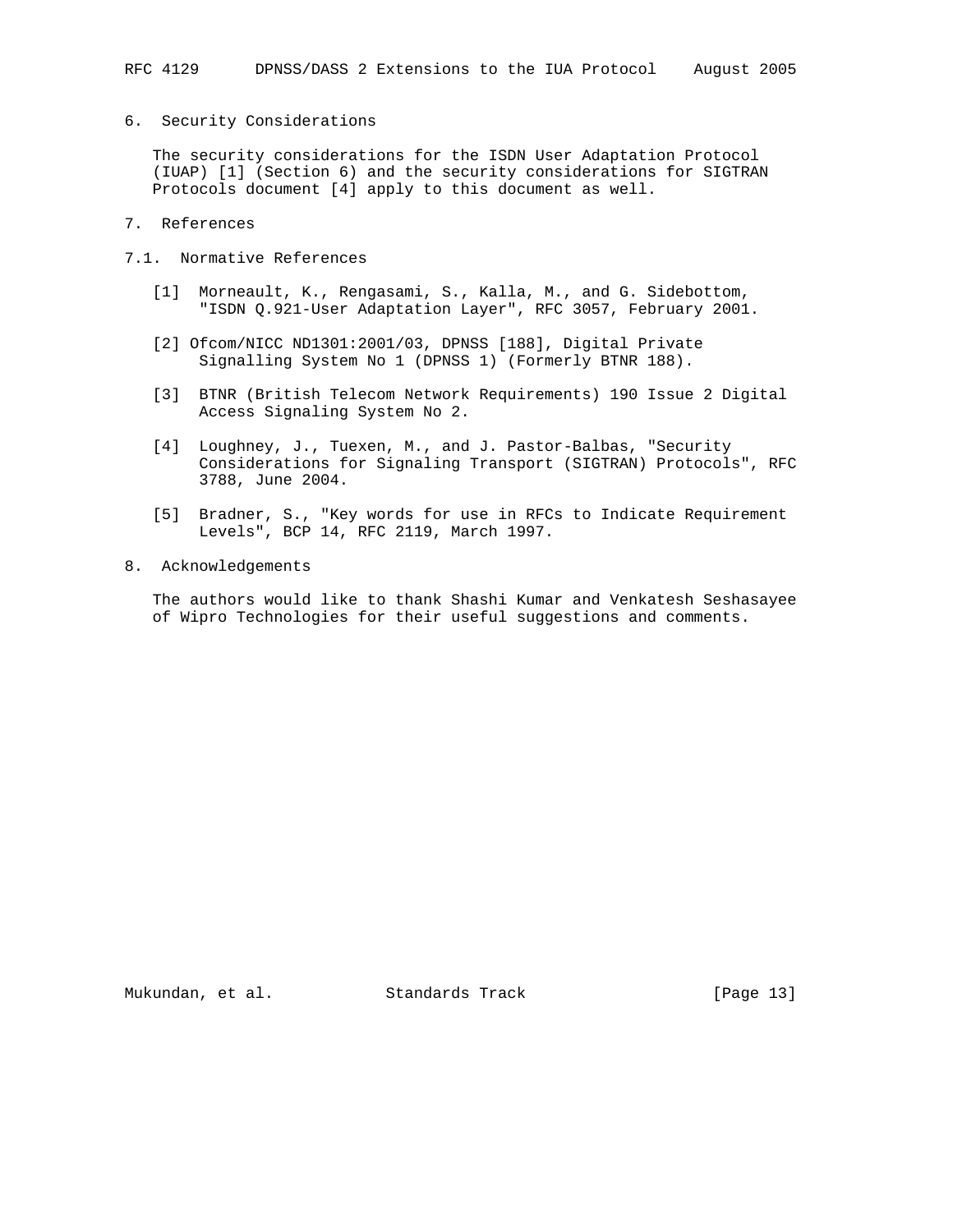6. Security Considerations

 The security considerations for the ISDN User Adaptation Protocol (IUAP) [1] (Section 6) and the security considerations for SIGTRAN Protocols document [4] apply to this document as well.

- 7. References
- 7.1. Normative References
	- [1] Morneault, K., Rengasami, S., Kalla, M., and G. Sidebottom, "ISDN Q.921-User Adaptation Layer", RFC 3057, February 2001.
	- [2] Ofcom/NICC ND1301:2001/03, DPNSS [188], Digital Private Signalling System No 1 (DPNSS 1) (Formerly BTNR 188).
	- [3] BTNR (British Telecom Network Requirements) 190 Issue 2 Digital Access Signaling System No 2.
	- [4] Loughney, J., Tuexen, M., and J. Pastor-Balbas, "Security Considerations for Signaling Transport (SIGTRAN) Protocols", RFC 3788, June 2004.
	- [5] Bradner, S., "Key words for use in RFCs to Indicate Requirement Levels", BCP 14, RFC 2119, March 1997.
- 8. Acknowledgements

 The authors would like to thank Shashi Kumar and Venkatesh Seshasayee of Wipro Technologies for their useful suggestions and comments.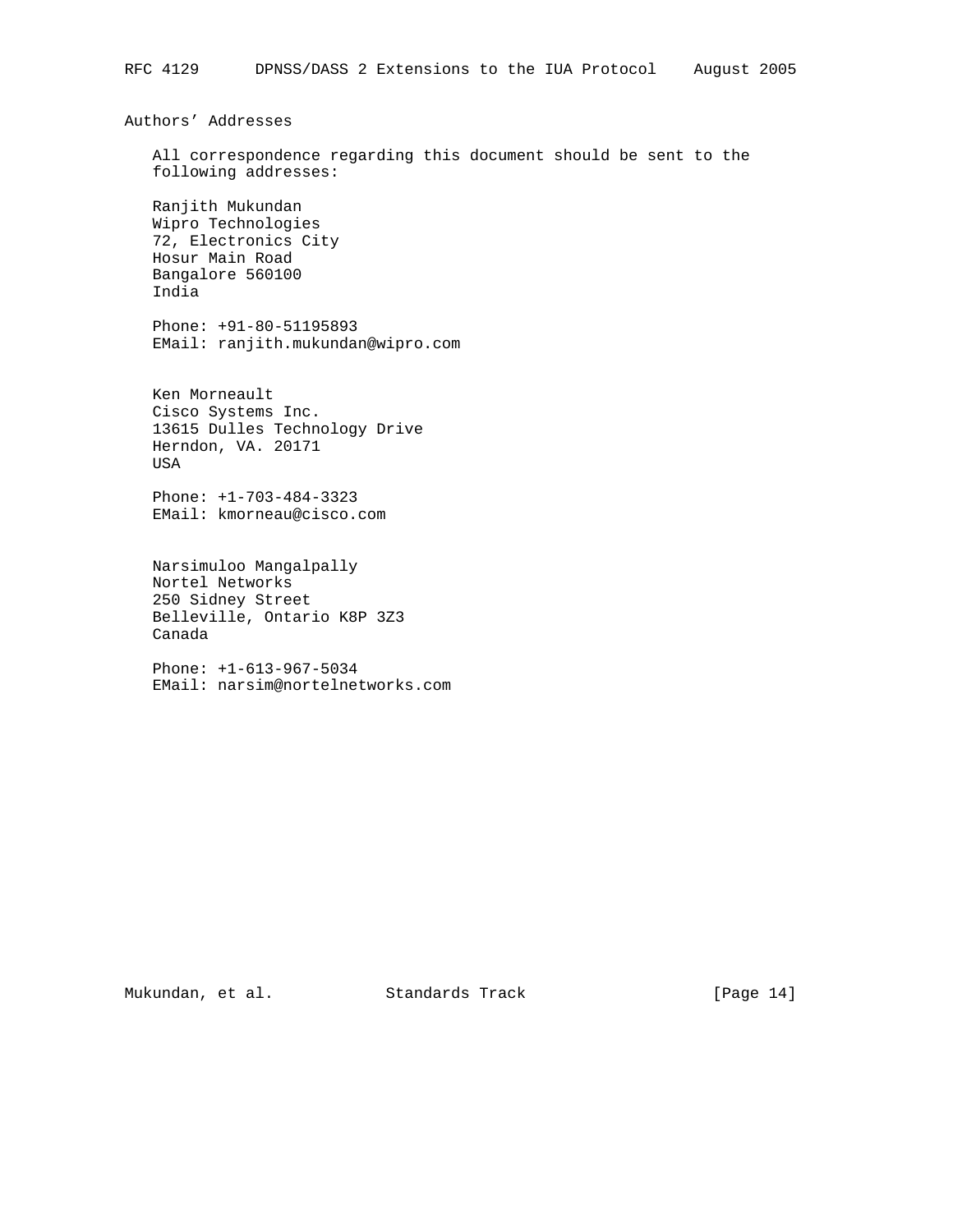Authors' Addresses

 All correspondence regarding this document should be sent to the following addresses:

 Ranjith Mukundan Wipro Technologies 72, Electronics City Hosur Main Road Bangalore 560100 India

 Phone: +91-80-51195893 EMail: ranjith.mukundan@wipro.com

 Ken Morneault Cisco Systems Inc. 13615 Dulles Technology Drive Herndon, VA. 20171 USA

 Phone: +1-703-484-3323 EMail: kmorneau@cisco.com

 Narsimuloo Mangalpally Nortel Networks 250 Sidney Street Belleville, Ontario K8P 3Z3 Canada

 Phone: +1-613-967-5034 EMail: narsim@nortelnetworks.com

Mukundan, et al. Standards Track [Page 14]